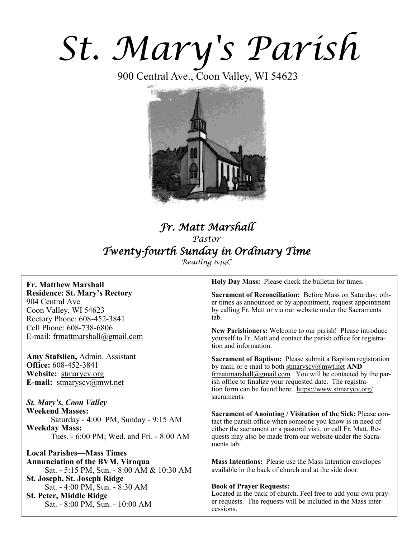# *St. Mary's Parish*

900 Central Ave., Coon Valley, WI 54623



## *Fr. Matt Marshall Pastor Twenty-fourth Sunday in Ordinary Time Reading 649C*

**Fr. Matthew Marshall Residence: St. Mary's Rectory** 904 Central Ave Coon Valley, WI 54623 Rectory Phone: 608-452-3841 Cell Phone: 608-738-6806 E-mail: [frmattmarshall@gmail.com](mailto:frmattmarshall@gmail.com)

**Amy Stafslien,** Admin. Assistant **Office:** 608-452-3841 **Website:** <stmarycv.org> **E-mail:** [stmaryscv@mwt.net](mailto:stmaryscv@mwt.net)

*St. Mary's, Coon Valley*  **Weekend Masses:** Saturday - 4:00 PM, Sunday - 9:15 AM **Weekday Mass:**  Tues. - 6:00 PM; Wed. and Fri. - 8:00 AM

**Local Parishes—Mass Times Annunciation of the BVM, Viroqua** Sat. - 5:15 PM, Sun. - 8:00 AM & 10:30 AM **St. Joseph, St. Joseph Ridge** Sat. - 4:00 PM, Sun. - 8:30 AM **St. Peter, Middle Ridge** Sat. - 8:00 PM, Sun. - 10:00 AM

**Holy Day Mass:** Please check the bulletin for times.

**Sacrament of Reconciliation:** Before Mass on Saturday; other times as announced or by appointment, request appointment by calling Fr. Matt or via our website under the Sacraments tab.

**New Parishioners:** Welcome to our parish! Please introduce yourself to Fr. Matt and contact the parish office for registration and information.

**Sacrament of Baptism:** Please submit a Baptism registration by mail, or e-mail to both [stmaryscv@mwt.net](mailto:stmaryscv@mwt.net) **AND** [frmattmarshall@gmail.com](mailto:frmattmarshall@gmail.com)*.* You will be contacted by the parish office to finalize your requested date. The registration form can be found here: [https://www.stmarycv.org/](https://www.stmarycv.org/sacraments) [sacraments.](https://www.stmarycv.org/sacraments) 

**Sacrament of Anointing / Visitation of the Sick:** Please contact the parish office when someone you know is in need of either the sacrament or a pastoral visit, or call Fr. Matt. Requests may also be made from our website under the Sacraments tab.

**Mass Intentions:** Please use the Mass Intention envelopes available in the back of church and at the side door.

#### **Book of Prayer Requests:**

Located in the back of church. Feel free to add your own prayer requests. The requests will be included in the Mass intercessions.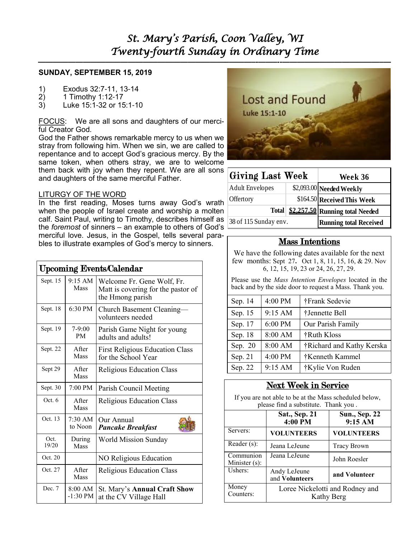**—————————————————————————–———–-——–--—————————————–—**

#### **SUNDAY, SEPTEMBER 15, 2019**

- 1) Exodus 32:7-11, 13-14
- 2) 1 Timothy 1:12-17
- 3) Luke 15:1-32 or 15:1-10

FOCUS: We are all sons and daughters of our merciful Creator God.

God the Father shows remarkable mercy to us when we stray from following him. When we sin, we are called to repentance and to accept God's gracious mercy. By the same token, when others stray, we are to welcome them back with joy when they repent. We are all sons and daughters of the same merciful Father.

#### LITURGY OF THE WORD

In the first reading, Moses turns away God's wrath when the people of Israel create and worship a molten calf. Saint Paul, writing to Timothy, describes himself as the *foremost* of sinners – an example to others of God's merciful love. Jesus, in the Gospel, tells several parables to illustrate examples of God's mercy to sinners.

| <b>Upcoming Events/Calendar</b> |                              |                                                                                      |  |  |  |  |
|---------------------------------|------------------------------|--------------------------------------------------------------------------------------|--|--|--|--|
| Sept. 15                        | 9:15 AM<br>Mass              | Welcome Fr. Gene Wolf, Fr.<br>Matt is covering for the pastor of<br>the Hmong parish |  |  |  |  |
| Sept. 18                        | 6:30 PM                      | Church Basement Cleaning-<br>volunteers needed                                       |  |  |  |  |
| Sept. 19                        | $7-9:00$<br><b>PM</b>        | Parish Game Night for young<br>adults and adults!                                    |  |  |  |  |
| Sept. 22                        | After<br>Mass                | <b>First Religious Education Class</b><br>for the School Year                        |  |  |  |  |
| Sept 29                         | After<br>Mass                | <b>Religious Education Class</b>                                                     |  |  |  |  |
| Sept. 30                        | 7:00 PM                      | Parish Council Meeting                                                               |  |  |  |  |
| Oct.6                           | After<br><b>Mass</b>         | Religious Education Class                                                            |  |  |  |  |
| Oct. 13                         | $7:30 \text{ AM}$<br>to Noon | Our Annual<br><b>Pancake Breakfast</b>                                               |  |  |  |  |
| Oct.<br>19/20                   | During<br>Mass               | World Mission Sunday                                                                 |  |  |  |  |
| Oct. 20                         |                              | NO Religious Education                                                               |  |  |  |  |
| Oct. 27                         | After<br>Mass                | Religious Education Class                                                            |  |  |  |  |
| Dec. 7                          | 8:00 AM<br>$-1:30$ PM        | <b>St. Mary's Annual Craft Show</b><br>at the CV Village Hall                        |  |  |  |  |



| <b>Giving Last Week</b> | Week 36                       |                                         |  |
|-------------------------|-------------------------------|-----------------------------------------|--|
| <b>Adult Envelopes</b>  |                               | \$2,093.00 Needed Weekly                |  |
| Offertory               |                               | \$164.50 Received This Week             |  |
|                         |                               | Total   \$2,257.50 Running total Needed |  |
| 38 of 115 Sunday env.   | <b>Running total Received</b> |                                         |  |

| 4:00 PM<br>Sep. 14 |         | †Frank Sedevie            |  |  |  |
|--------------------|---------|---------------------------|--|--|--|
| Sep. 15            | 9:15 AM | †Jennette Bell            |  |  |  |
| Sep. 17            | 6:00 PM | Our Parish Family         |  |  |  |
| Sep. 18            | 8:00 AM | †Ruth Kloss               |  |  |  |
| Sep. 20            | 8:00 AM | †Richard and Kathy Kerska |  |  |  |
| Sep. 21            | 4:00 PM | †Kenneth Kammel           |  |  |  |
| Sep. 22            | 9:15 AM | †Kylie Von Ruden          |  |  |  |

## Next Week in Service

| <b>Giving Last Week</b>                                                                                                                            |                                               |                             |                           |  | Week 36                                                                                        |  |  |  |
|----------------------------------------------------------------------------------------------------------------------------------------------------|-----------------------------------------------|-----------------------------|---------------------------|--|------------------------------------------------------------------------------------------------|--|--|--|
| <b>Adult Envelopes</b>                                                                                                                             |                                               |                             | \$2,093.00 Needed Weekly  |  |                                                                                                |  |  |  |
| Offertory                                                                                                                                          |                                               |                             |                           |  | \$164.50 Received This Week                                                                    |  |  |  |
|                                                                                                                                                    | <b>Total</b>                                  |                             |                           |  | \$2,257.50 Running total Needed                                                                |  |  |  |
| 38 of 115 Sunday env.                                                                                                                              |                                               |                             |                           |  | <b>Running total Received</b>                                                                  |  |  |  |
|                                                                                                                                                    |                                               |                             |                           |  |                                                                                                |  |  |  |
| <b>Mass Intentions</b>                                                                                                                             |                                               |                             |                           |  |                                                                                                |  |  |  |
| We have the following dates available for the next<br>few months: Sept 27. Oct 1, 8, 11, 15, 16, & 29. Nov<br>6, 12, 15, 19, 23 or 24, 26, 27, 29. |                                               |                             |                           |  |                                                                                                |  |  |  |
| Please use the Mass Intention Envelopes located in the<br>back and by the side door to request a Mass. Thank you.                                  |                                               |                             |                           |  |                                                                                                |  |  |  |
| Sep. 14                                                                                                                                            | 4:00 PM                                       |                             | †Frank Sedevie            |  |                                                                                                |  |  |  |
| Sep. 15                                                                                                                                            | 9:15 AM                                       |                             | †Jennette Bell            |  |                                                                                                |  |  |  |
| Sep. 17                                                                                                                                            | 6:00 PM                                       |                             | Our Parish Family         |  |                                                                                                |  |  |  |
| Sep. 18                                                                                                                                            | 8:00 AM                                       |                             | †Ruth Kloss               |  |                                                                                                |  |  |  |
| Sep. 20                                                                                                                                            | 8:00 AM                                       |                             | †Richard and Kathy Kerska |  |                                                                                                |  |  |  |
| Sep. 21                                                                                                                                            | 4:00 PM                                       |                             | †Kenneth Kammel           |  |                                                                                                |  |  |  |
| 9:15 AM<br>Sep. 22                                                                                                                                 |                                               |                             | †Kylie Von Ruden          |  |                                                                                                |  |  |  |
|                                                                                                                                                    |                                               | <b>Next Week in Service</b> |                           |  |                                                                                                |  |  |  |
|                                                                                                                                                    |                                               |                             |                           |  | If you are not able to be at the Mass scheduled below,<br>please find a substitute. Thank you. |  |  |  |
| Sat., Sep. 21                                                                                                                                      |                                               | $4:00 \tilde{P}M$           |                           |  | <b>Sun., Sep. 22</b><br>$9:15 \overline{AM}$                                                   |  |  |  |
| Servers:                                                                                                                                           | <b>VOLUNTEERS</b>                             |                             |                           |  | <b>VOLUNTEERS</b>                                                                              |  |  |  |
| Reader $(s)$ :<br>Jeana LeJeune                                                                                                                    |                                               |                             |                           |  | <b>Tracy Brown</b>                                                                             |  |  |  |
| Communion<br>Minister (s):                                                                                                                         | Jeana LeJeune                                 |                             |                           |  | John Roesler                                                                                   |  |  |  |
| Ushers:                                                                                                                                            | Andy LeJeune<br>and Volunteers                |                             |                           |  | and Volunteer                                                                                  |  |  |  |
| Money<br>Counters:                                                                                                                                 | Loree Nickelotti and Rodney and<br>Kathy Berg |                             |                           |  |                                                                                                |  |  |  |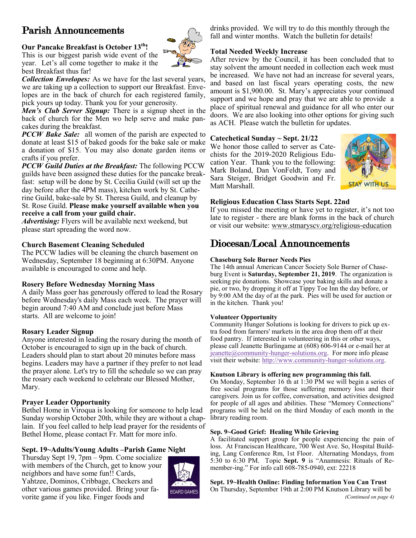# Parish Announcements

#### **Our Pancake Breakfast is October 13th!**

This is our biggest parish wide event of the year. Let's all come together to make it the best Breakfast thus far!

*Collection Envelopes:* As we have for the last several years, we are taking up a collection to support our Breakfast. Envelopes are in the back of church for each registered family, pick yours up today. Thank you for your generosity.

*Men's Club Server Signup:* There is a signup sheet in the back of church for the Men wo help serve and make pancakes during the breakfast.

*PCCW Bake Sale:* all women of the parish are expected to donate at least \$15 of baked goods for the bake sale or make a donation of \$15. You may also donate garden items or crafts if you prefer.

*PCCW Guild Duties at the Breakfast:* The following PCCW guilds have been assigned these duties for the pancake breakfast: setup will be done by St. Cecilia Guild (will set up the day before after the 4PM mass), kitchen work by St. Catherine Guild, bake-sale by St. Theresa Guild, and cleanup by St. Rose Guild. **Please make yourself available when you** 

# **receive a call from your guild chair.**

*Advertising:* Flyers will be available next weekend, but please start spreading the word now.

#### **Church Basement Cleaning Scheduled**

The PCCW ladies will be cleaning the church basement on Wednesday, September 18 beginning at 6:30PM. Anyone available is encouraged to come and help.

#### **Rosery Before Wednesday Morning Mass**

A daily Mass goer has generously offered to lead the Rosary before Wednesday's daily Mass each week. The prayer will begin around 7:40 AM and conclude just before Mass starts. All are welcome to join!

#### **Rosary Leader Signup**

Anyone interested in leading the rosary during the month of October is encouraged to sign up in the back of church. Leaders should plan to start about 20 minutes before mass begins. Leaders may have a partner if they prefer to not lead the prayer alone. Let's try to fill the schedule so we can pray the rosary each weekend to celebrate our Blessed Mother, Mary.

#### **Prayer Leader Opportunity**

Bethel Home in Viroqua is looking for someone to help lead Sunday worship October 20th, while they are without a chaplain. If you feel called to help lead prayer for the residents of Bethel Home, please contact Fr. Matt for more info.

#### **Sept. 19~Adults/Young Adults –Parish Game Night**

Thursday Sept 19, 7pm – 9pm. Come socialize with members of the Church, get to know your neighbors and have some fun!! Cards, Yahtzee, Dominos, Cribbage, Checkers and other various games provided. Bring your favorite game if you like. Finger foods and



drinks provided. We will try to do this monthly through the fall and winter months. Watch the bulletin for details!

#### **Total Needed Weekly Increase**

After review by the Council, it has been concluded that to stay solvent the amount needed in collection each week must be increased. We have not had an increase for several years, and based on last fiscal years operating costs, the new amount is \$1,900.00. St. Mary's appreciates your continued support and we hope and pray that we are able to provide a place of spiritual renewal and guidance for all who enter our doors. We are also looking into other options for giving such as ACH. Please watch the bulletin for updates.

#### **Catechetical Sunday ~ Sept. 21/22**

We honor those called to server as Catechists for the 2019-2020 Religious Education Year. Thank you to the following: Mark Boland, Dan VonFeldt, Tony and Sara Steiger, Bridget Goodwin and Fr. Matt Marshall.



#### **Religious Education Class Starts Sept. 22nd**

If you missed the meeting or have yet to register, it's not too late to register - there are blank forms in the back of church or visit our website: [www.stmaryscv.org/religious-education](http://www.stmaryscv.org/religious-education)

## Diocesan/Local Announcements

#### **Chaseburg Sole Burner Needs Pies**

The 14th annual American Cancer Society Sole Burner of Chaseburg Event is **Saturday, September 21, 2019**. The organization is seeking pie donations. Showcase your baking skills and donate a pie, or two, by dropping it off at Tippy Toe Inn the day before, or by 9:00 AM the day of at the park. Pies will be used for auction or in the kitchen. Thank you!

#### **Volunteer Opportunity**

Community Hunger Solutions is looking for drivers to pick up extra food from farmers' markets in the area drop them off at their food pantry. If interested in volunteering in this or other ways, please call Jeanette Burlingame at (608) 606-9144 or e-mail her at  $j$ ieanette $@$ community-hunger-solutions.org. For more info please visit their website: [http://www.community-hunger-solutions.org.](http://www.community-hunger-solutions.org)

#### **Knutson Library is offering new programming this fall.**

On Monday, September 16 th at 1:30 PM we will begin a series of free social programs for those suffering memory loss and their caregivers. Join us for coffee, conversation, and activities designed for people of all ages and abilities. These "Memory Connections" programs will be held on the third Monday of each month in the library reading room.

#### **Sep. 9~Good Grief: Healing While Grieving**

A facilitated support group for people experiencing the pain of loss. At Franciscan Healthcare, 700 West Ave. So, Hospital Building, Lang Conference Rm, 1st Floor. Alternating Mondays, from 5:30 to 6:30 PM. Topic **Sept. 9** is "Anamnesis: Rituals of Remember-ing." For info call 608-785-0940, ext: 22218

### **Sept. 19~Health Online: Finding Information You Can Trust**

On Thursday, September 19th at 2:00 PM Knutson Library will be *(Continued on page 4)*